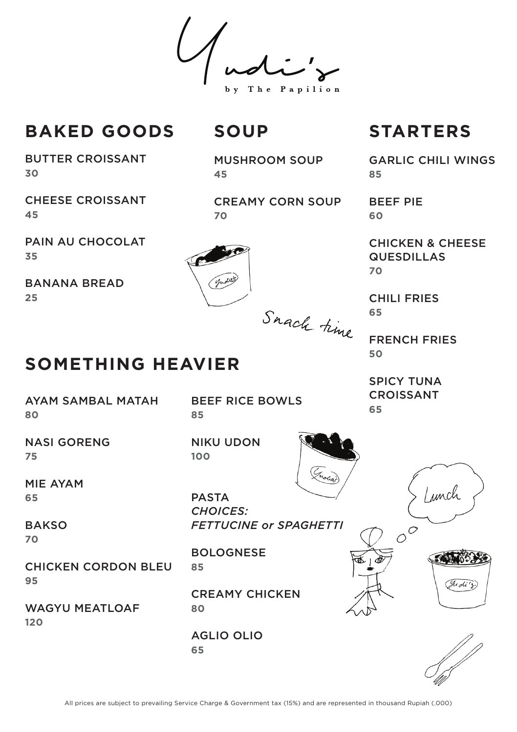The Papilion

# **BAKED GOODS**

BUTTER CROISSANT **30**

CHEESE CROISSANT **45**

PAIN AU CHOCOLAT **35**

**SOMETHING HEAVIER**

BANANA BREAD **25**

## MUSHROOM SOUP **45**

CREAMY CORN SOUP **70**



# **SOUP STARTERS**

GARLIC CHILI WINGS **85**

BEEF PIE **60**

CHICKEN & CHEESE QUESDILLAS **70**

CHILI FRIES **65**

FRENCH FRIES **50**

SPICY TUNA CROISSANT **65**

NASI GORENG **75**

AYAM SAMBAL MATAH

MIE AYAM **65**

**BAKSO 70**

**80**

CHICKEN CORDON BLEU **95**

WAGYU MEATLOAF **120**

BEEF RICE BOWLS **85**

NIKU UDON **100** 



PASTA *CHOICES: FETTUCINE or SPAGHETTI*

BOLOGNESE **85**

CREAMY CHICKEN **80**

AGLIO OLIO **65**





Lunch